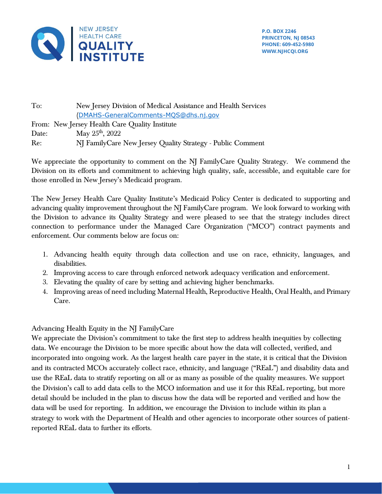

To: New Jersey Division of Medical Assistance and Health Services ([DMAHS-GeneralComments-MQS@dhs.nj.gov](mailto:DMAHS-GeneralComments-MQS@dhs.nj.gov) From: New Jersey Health Care Quality Institute Date: May  $25<sup>th</sup>$ ,  $2022$ Re: NJ FamilyCare New Jersey Quality Strategy - Public Comment

We appreciate the opportunity to comment on the NJ FamilyCare Quality Strategy. We commend the Division on its efforts and commitment to achieving high quality, safe, accessible, and equitable care for those enrolled in New Jersey's Medicaid program.

The New Jersey Health Care Quality Institute's Medicaid Policy Center is dedicated to supporting and advancing quality improvement throughout the NJ FamilyCare program. We look forward to working with the Division to advance its Quality Strategy and were pleased to see that the strategy includes direct connection to performance under the Managed Care Organization ("MCO") contract payments and enforcement. Our comments below are focus on:

- 1. Advancing health equity through data collection and use on race, ethnicity, languages, and disabilities.
- 2. Improving access to care through enforced network adequacy verification and enforcement.
- 3. Elevating the quality of care by setting and achieving higher benchmarks.
- 4. Improving areas of need including Maternal Health, Reproductive Health, Oral Health, and Primary Care.

## Advancing Health Equity in the NJ FamilyCare

We appreciate the Division's commitment to take the first step to address health inequities by collecting data. We encourage the Division to be more specific about how the data will collected, verified, and incorporated into ongoing work. As the largest health care payer in the state, it is critical that the Division and its contracted MCOs accurately collect race, ethnicity, and language ("REaL") and disability data and use the REaL data to stratify reporting on all or as many as possible of the quality measures. We support the Division's call to add data cells to the MCO information and use it for this REaL reporting, but more detail should be included in the plan to discuss how the data will be reported and verified and how the data will be used for reporting. In addition, we encourage the Division to include within its plan a strategy to work with the Department of Health and other agencies to incorporate other sources of patientreported REaL data to further its efforts.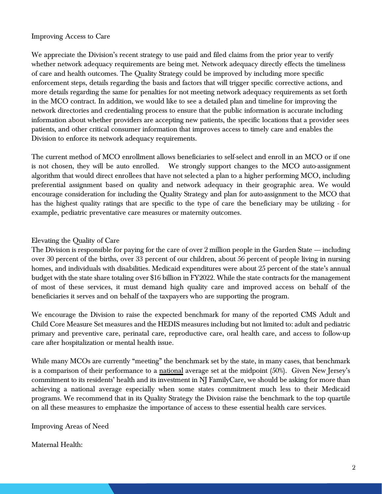## Improving Access to Care

We appreciate the Division's recent strategy to use paid and filed claims from the prior year to verify whether network adequacy requirements are being met. Network adequacy directly effects the timeliness of care and health outcomes. The Quality Strategy could be improved by including more specific enforcement steps, details regarding the basis and factors that will trigger specific corrective actions, and more details regarding the same for penalties for not meeting network adequacy requirements as set forth in the MCO contract. In addition, we would like to see a detailed plan and timeline for improving the network directories and credentialing process to ensure that the public information is accurate including information about whether providers are accepting new patients, the specific locations that a provider sees patients, and other critical consumer information that improves access to timely care and enables the Division to enforce its network adequacy requirements.

The current method of MCO enrollment allows beneficiaries to self-select and enroll in an MCO or if one is not chosen, they will be auto enrolled. We strongly support changes to the MCO auto-assignment algorithm that would direct enrollees that have not selected a plan to a higher performing MCO, including preferential assignment based on quality and network adequacy in their geographic area. We would encourage consideration for including the Quality Strategy and plan for auto-assignment to the MCO that has the highest quality ratings that are specific to the type of care the beneficiary may be utilizing - for example, pediatric preventative care measures or maternity outcomes.

## Elevating the Quality of Care

The Division is responsible for paying for the care of over 2 million people in the Garden State  $-$  including over 30 percent of the births, over 33 percent of our children, about 56 percent of people living in nursing homes, and individuals with disabilities. Medicaid expenditures were about 25 percent of the state's annual budget with the state share totaling over \$16 billion in FY2022. While the state contracts for the management of most of these services, it must demand high quality care and improved access on behalf of the beneficiaries it serves and on behalf of the taxpayers who are supporting the program.

We encourage the Division to raise the expected benchmark for many of the reported CMS Adult and Child Core Measure Set measures and the HEDIS measures including but not limited to: adult and pediatric primary and preventive care, perinatal care, reproductive care, oral health care, and access to follow-up care after hospitalization or mental health issue.

While many MCOs are currently "meeting" the benchmark set by the state, in many cases, that benchmark is a comparison of their performance to a national average set at the midpoint (50%). Given New Jersey's commitment to its residents' health and its investment in NJ FamilyCare, we should be asking for more than achieving a national average especially when some states commitment much less to their Medicaid programs. We recommend that in its Quality Strategy the Division raise the benchmark to the top quartile on all these measures to emphasize the importance of access to these essential health care services.

Improving Areas of Need

## Maternal Health: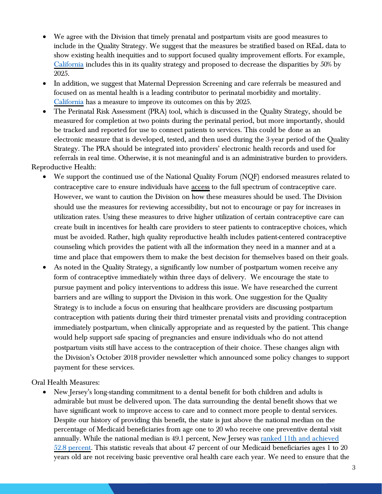- We agree with the Division that timely prenatal and postpartum visits are good measures to include in the Quality Strategy. We suggest that the measures be stratified based on REaL data to show existing health inequities and to support focused quality improvement efforts. For example, [California](https://www.dhcs.ca.gov/services/Documents/Formatted-Combined-CQS-exec-2022.pdf) includes this in its quality strategy and proposed to decrease the disparities by 50% by 2025.
- In addition, we suggest that Maternal Depression Screening and care referrals be measured and focused on as mental health is a leading contributor to perinatal morbidity and mortality. [California](https://www.dhcs.ca.gov/services/Documents/Formatted-Combined-CQS-exec-2022.pdf) has a measure to improve its outcomes on this by 2025.
- The Perinatal Risk Assessment (PRA) tool, which is discussed in the Quality Strategy, should be measured for completion at two points during the perinatal period, but more importantly, should be tracked and reported for use to connect patients to services. This could be done as an electronic measure that is developed, tested, and then used during the 3-year period of the Quality Strategy. The PRA should be integrated into providers' electronic health records and used for referrals in real time. Otherwise, it is not meaningful and is an administrative burden to providers.

Reproductive Health:

- We support the continued use of the National Quality Forum (NQF) endorsed measures related to contraceptive care to ensure individuals have access to the full spectrum of contraceptive care. However, we want to caution the Division on how these measures should be used. The Division should use the measures for reviewing accessibility, but not to encourage or pay for increases in utilization rates. Using these measures to drive higher utilization of certain contraceptive care can create built in incentives for health care providers to steer patients to contraceptive choices, which must be avoided. Rather, high quality reproductive health includes patient-centered contraceptive counseling which provides the patient with all the information they need in a manner and at a time and place that empowers them to make the best decision for themselves based on their goals.
- As noted in the Quality Strategy, a significantly low number of postpartum women receive any form of contraceptive immediately within three days of delivery. We encourage the state to pursue payment and policy interventions to address this issue. We have researched the current barriers and are willing to support the Division in this work. One suggestion for the Quality Strategy is to include a focus on ensuring that healthcare providers are discussing postpartum contraception with patients during their third trimester prenatal visits and providing contraception immediately postpartum, when clinically appropriate and as requested by the patient. This change would help support safe spacing of pregnancies and ensure individuals who do not attend postpartum visits still have access to the contraception of their choice. These changes align with the Division's October 2018 provider newsletter which announced some policy changes to support payment for these services.

Oral Health Measures:

• New Jersey's long-standing commitment to a dental benefit for both children and adults is admirable but must be delivered upon. The data surrounding the dental benefit shows that we have significant work to improve access to care and to connect more people to dental services. Despite our history of providing this benefit, the state is just above the national median on the percentage of Medicaid beneficiaries from age one to 20 who receive one preventive dental visit annually. While the national median is 49.1 percent, New Jersey was [ranked 11th and achieved](https://www.medicaid.gov/state-overviews/scorecard/eligibles-who-received-preventative-dental-services/index.html)  [52.8 percent.](https://www.medicaid.gov/state-overviews/scorecard/eligibles-who-received-preventative-dental-services/index.html) This statistic reveals that about 47 percent of our Medicaid beneficiaries ages 1 to 20 years old are not receiving basic preventive oral health care each year. We need to ensure that the